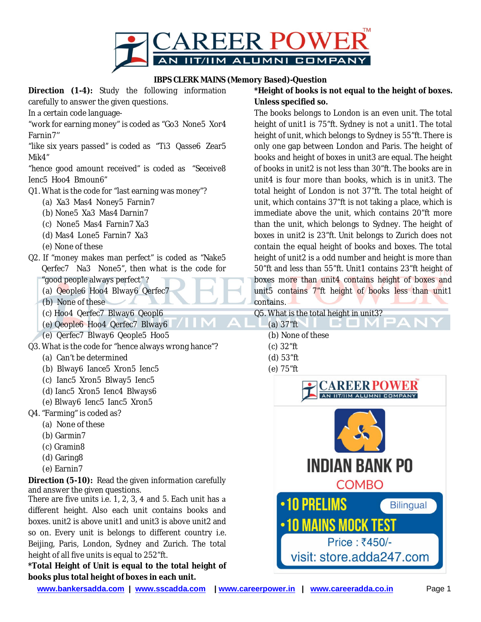

## **IBPS CLERK MAINS (Memory Based)-Question**

**Direction (1-4):** Study the following information carefully to answer the given questions.

In a certain code language-

"work for earning money" is coded as "Go3 None5 Xor4 Farnin7''

"like six years passed" is coded as "Ti3 Qasse6 Zear5 Mik4"

"hence good amount received" is coded as "Seceive8 lenc5 Hoo4 Bmoun6"

- Q1. What is the code for "last earning was money"?
	- (a) Xa3 Mas4 Noney5 Farnin7
	- (b) None 5 Xa3 Mas4 Darnin7
	- (c) None5 Mas4 Farnin7 Xa3
	- (d) Mas4 Lone5 Farnin7 Xa3
	- (e) None of these
- Q2. If "money makes man perfect" is coded as "Nake5 Qerfec7 Na3 None5", then what is the code for " good people always perfect"?
	- (a) Qeople6 Hoo4 Blway6 Qerfec7
	- (b) None of these
	- (c) Hoo4Qerfec7Blway6Qeopl6
	- (e) Qeople6 Hoo4 Qerfec7 Blway6
	- (e) Qerfec7 Blway6 Qeople5 Hoo5
- Q3. What is the code for "hence always wrong hance"?
	- (a) Can't be determined
	- (b) Blway6 lance5 Xron5 lenc5
	- (c) Ianc5 Xron5 Blway5 Ienc5
	- (d) Ianc5 Xron5 Ienc4 Blways6
	- (e) Blway6 lenc5 lanc5 Xron5
- Q4. "Farming" is coded as?
- (a) None of these
	- (b) Garmin7
	- (c) Gramin8
	- (d) Garing8
	- (e) Earnin7

**Direction** (5-10): Read the given information carefully and answer the given questions.

There are five units i.e. 1, 2, 3, 4 and 5. Each unit has a different height. Also each unit contains books and boxes. unit2 is above unit1 and unit3 is above unit2 and so on. Every unit is belongs to different country i.e. Beijing, Paris, London, Sydney and Zurich. The total height of all five units is equal to 252"ft.

**\*Total Height of Unit is equal to the total height of books plus total height of boxes in each unit.**

**\*Height of books is not equal to the height of boxes. Unless specified so.**

The books belongs to London is an even unit. The total height of unit1 is 75"ft. Sydney is not a unit1. The total height of unit, which belongs to Sydney is 55"ft. There is only one gap between London and Paris. The height of books and height of boxes in unit3 are equal. The height of books in unit2 is not less than 30"ft. The books are in unit4 is four more than books, which is in unit3. The total height of London is not 37"ft. The total height of unit, which contains 37"ft is not taking a place, which is immediate above the unit, which contains 20"ft more than the unit, which belongs to Sydney. The height of boxes in unit2 is 23"ft. Unit belongs to Zurich does not contain the equal height of books and boxes. The total height of unit2 is a odd number and height is more than 50"ft and less than 55"ft. Unit1 contains 23"ft height of boxes more than unit4 contains height of boxes and unit5 contains 7"ft height of books less than unit1 contains.

Q5. What is the total height in unit3?

GOMI (a) 37"ft (b) None of these (c) 32"ft (d) 53"ft (e) 75"ft



**www.bankersadda.com | www.sscadda.com | www.careerpower.in | www.careeradda.co.in** Page 1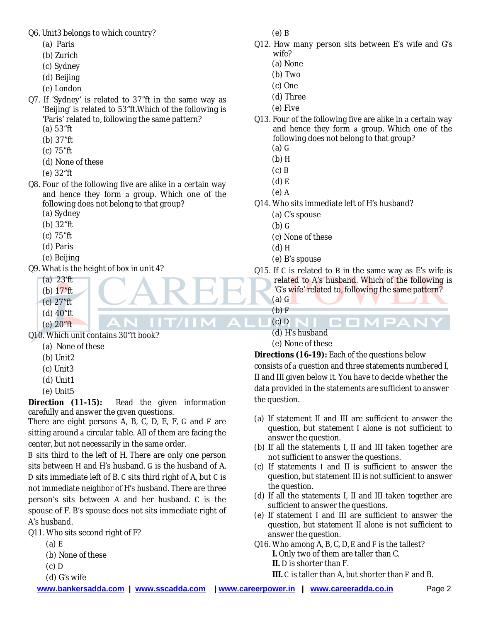Q6. Unit3 belongs to which country?

- (a) Paris
- (b) Zurich
- (c) Sydney
- (d) Beijing
- (e) London
- Q7. If 'Sydney' is related to 37"ft in the same way as 'Beijing' is related to 53"ft.Which of the following is 'Paris' related to, following the same pattern? (a) 53"ft
	- (b) 37"ft
	- (c) 75"ft
	- (d) None of these
	- (e) 32"ft
- Q8. Four of the following five are alike in a certain way and hence they form a group. Which one of the following does not belong to that group?
	- (a) Sydney
	- (b) 32"ft
	- (c) 75"ft
	- (d) Paris
	- (e) Beijing
- Q9. What is the height of box in unit 4?
	- (a)23'ft
	- (b) 17"ft (c) 27"ft
	- (d) 40"ft
	- (e) 20"ft

Q10. Which unit contains 30"ft book?

- (a) None of these
- (b) Unit2
- (c) Unit3
- (d) Unit1
- (e) Unit5

**Direction (11-15):** Read the given information carefully and answer the given questions.

There are eight persons  $A$ ,  $B$ ,  $C$ ,  $D$ ,  $E$ ,  $F$ ,  $G$  and  $F$  are sitting around a circular table. All of them are facing the center, but not necessarily in the same order.

B sits third to the left of H. There are only one person sits between H and H's husband. G is the husband of A. D sits immediate left of B. C sits third right of A, but C is not immediate neighbor of H's husband. There are three person's sits between  $A$  and her husband.  $C$  is the spouse of F. B's spouse does not sits immediate right of A's husband.

Q11. Who sits second right of F?

- $(a) E$
- (b) None of these
- $(c)$  D
- (d) G's wife

 $(e)$  B

- Q12. How many person sits between E's wife and G's wife?
	- (a) None
	- (b) Two
	- (c) One
	- (d) Three
	- (e) Five
- Q13. Four of the following five are alike in a certain way and hence they form a group. Which one of the following does not belong to that group?
	- (a)
	- $(b)$  H
	- $(c)$  B
	- (d)
	- $(e)$  A
- Q14. Who sits immediate left of H's husband?
	- (a) C's spouse
	- (b)
	- (c) None of these
	- (d)
	- (e) B's spouse
- Q15. If C is related to B in the same way as E's wife is related to A's husband. Which of the following is 'G's wife' related to, following the same pattern?

COMPAN

(a)  $(b) F$ 

IT/IIM A

 $\bigcap$  (c) D (d) H's husband

## (e) None of these

**Directions (16-19):** Each of the questions below consists of a question and three statements numbered I, II and III given below it. You have to decide whether the data provided in the statements are sufficient to answer the question.

- (a) If statement II and III are sufficient to answer the question, but statement I alone is not sufficient to answer the question.
- (b) If all the statements I, II and III taken together are not sufficient to answer the questions.
- (c) If statements I and II is sufficient to answer the question, but statement III is not sufficient to answer the question.
- (d) If all the statements I, II and III taken together are sufficient to answer the questions.
- (e) If statement  and III are sufficient to answer the question, but statement II alone is not sufficient to answer the question.
- Q16. Who among A, B, C, D, E and F is the tallest?
	- **I.** Only two of them are taller than C. **II. D** is shorter than F.
	- **III.** C is taller than A, but shorter than F and B.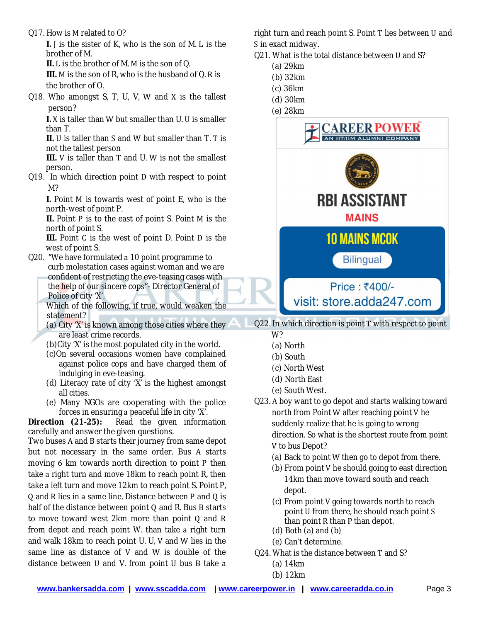Q17. How is M related to O?

I. I is the sister of K, who is the son of M. L is the brother of M.

II. L is the brother of M. M is the son of Q.

III. M is the son of R, who is the husband of Q. R is the brother of O.

Q18. Who amongst  $S$ ,  $T$ ,  $U$ ,  $V$ ,  $W$  and  $X$  is the tallest person?

**I.** X is taller than W but smaller than U. U is smaller than T.

**II.** U is taller than S and W but smaller than T. T is not the tallest person

**III.** V is taller than T and U. W is not the smallest person.

 $Q19.$  In which direction point D with respect to point M?

**I.** Point M is towards west of point E, who is the north-west of point P.

II. Point P is to the east of point S. Point M is the north of point S.

**III.** Point C is the west of point D. Point D is the west of point S.

- Q20. "We have formulated a 10 point programme to curb molestation cases against woman and we are confident of restricting the eve-teasing cases with the help of our sincere cops"- Director General of Police of city 'X'.
	- Which of the following, if true, would weaken the statement?
	- (a) City 'X' is known among those cities where they are least crime records.
	- (b)City 'X' is the most populated city in the world.
	- (c)On several occasions women have complained against police cops and have charged them of indulging in eve-teasing.
	- (d) Literacy rate of city 'X' is the highest amongst all cities.
	- (e) Many NGOs are cooperating with the police forces in ensuring a peaceful life in city 'X'.

**Direction (21-25):** Read the given information carefully and answer the given questions.

Two buses A and B starts their journey from same depot but not necessary in the same order. Bus A starts moving  $6 \text{ km}$  towards north direction to point  $P$  then take a right turn and move 18km to reach point R, then take a left turn and move 12km to reach point S. Point P,  $Q$  and R lies in a same line. Distance between P and  $Q$  is half of the distance between point  $Q$  and  $R$ . Bus  $B$  starts to move toward west  $2km$  more than point  $Q$  and  $R$ from depot and reach point W. than take a right turn and walk 18km to reach point  $U$ .  $U$ ,  $V$  and  $W$  lies in the same line as distance of  $V$  and  $W$  is double of the distance between  $U$  and  $V$ . from point  $U$  bus  $B$  take a

right turn and reach point S. Point T lies between U and S in exact midway.

- Q21. What is the total distance between U and S?
	- (a) 29km
	- (b) 32km
	- (c) 36km
	- (d) 30km
	- (e) 28km



Q22. In which direction is point T with respect to point

- W?
- (a) North
- (b) South
- (c) North West
- (d) North East
- (e) South West.
- Q23. A boy want to go depot and starts walking toward north from Point W after reaching point V he suddenly realize that he is going to wrong direction. So what is the shortest route from point V to bus Depot?
	- (a) Back to point W then go to depot from there.
	- $(b)$  From point V he should going to east direction 14km than move toward south and reach depot.
	- (c) From point V going towards north to reach point U from there, he should reach point S than point R than P than depot.
	- (d) Both (a) and (b)
	- (e) Can't determine.
- Q24. What is the distance between T and S?
	- (a) 14km
	- (b) 12km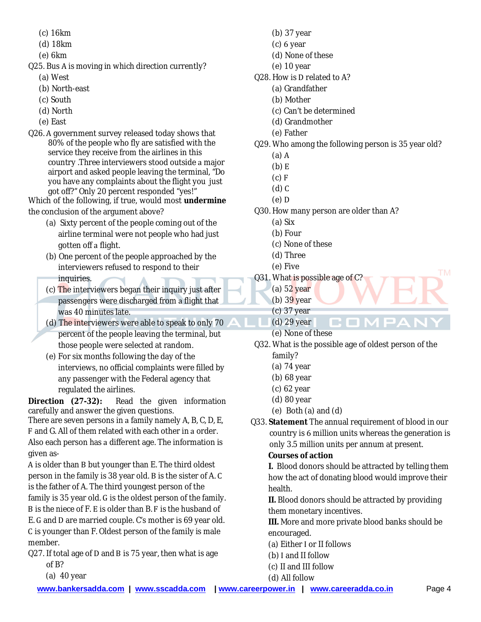- (c) 16km
- (d) 18km
- (e) 6km
- Q25. Bus A is moving in which direction currently?
	- (a) West
	- (b) North-east
	- (c) South
	- (d) North
	- (e) East
- Q26. A government survey released today shows that 80% of the people who fly are satisfied with the service they receive from the airlines in this country . Three interviewers stood outside a major airport and asked people leaving the terminal, "Do you have any complaints about the flight you just got off?" Only 20 percent responded "yes!"

Which of the following, if true, would most **undermine** the conclusion of the argument above?

- (a) Sixty percent of the people coming out of the airline terminal were not people who had just gotten off a flight.
- (b) One percent of the people approached by the interviewers refused to respond to their inquiries.
- (c) The interviewers began their inquiry just after passengers were discharged from a flight that was 40 minutes late.
- (d) The interviewers were able to speak to only 70 percent of the people leaving the terminal, but those people were selected at random.
- (e) For six months following the day of the interviews, no official complaints were filled by any passenger with the Federal agency that regulated the airlines.

**Direction (27-32):** Read the given information carefully and answer the given questions.

There are seven persons in a family namely  $A$ ,  $B$ ,  $C$ ,  $D$ ,  $E$ , F and G. All of them related with each other in a order. Also each person has a different age. The information is given as-

A is older than B but younger than E. The third oldest person in the family is 38 year old. B is the sister of A.C is the father of A. The third youngest person of the family is 35 year old. G is the oldest person of the family. B is the niece of F. E is older than B. F is the husband of E. G and D are married couple. C's mother is 69 year old. C is younger than F. Oldest person of the family is male member.

- Q27. If total age of D and B is 75 year, then what is age of B?
	- (a)  $40$  year
- (b) 37 year
- $(c)$  6 year
- (d) None of these
- (e) 10 year
- Q28. How is D related to A?
	- (a) Grandfather
	- (b) Mother
	- (c) Can't be determined
	- (d) Grandmother
	- (e) Father
- Q29. Who among the following person is 35 year old?
	- $(a)$  A
	- $(b)$  E
	- $(c) F$
	- $(d)$   $C$
	- $(e)$  D
- Q30. How many person are older than A?
	- (a) Six
	- (b) Four
	- (c) None of these
	- (d) Three
	- (e) Five
- Q31. What is possible age of C?
	- (a) 52 year
	- (b)  $39$  year
	- (c) 37 year
	- (d) 29 year
	- (e) None of these
- Q32. What is the possible age of oldest person of the family?

COMPAN

- (a) 74 year
- (b) 68 year
- (c) 62 year
- (d) 80 year
- (e) Both  $(a)$  and  $(d)$
- Q33. **Statement** The annual requirement of blood in our country is 6 million units whereas the generation is only 3.5 million units per annum at present. **Courses of action**

**I.**Blood donors should be attracted by telling them how the act of donating blood would improve their health.

**II.** Blood donors should be attracted by providing them monetary incentives.

**III.** More and more private blood banks should be encouraged.

- (a) Either I or II follows
- $(b)$  I and II follow
- (c) II and III follow

**TM**